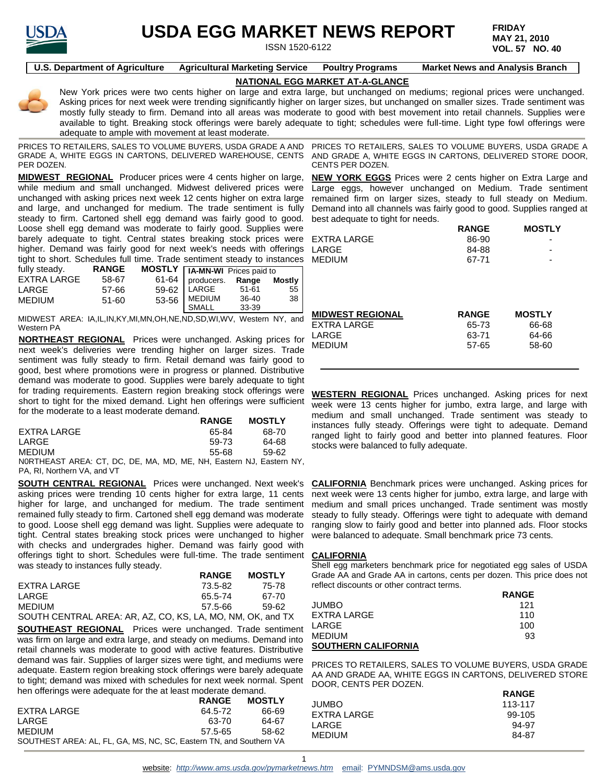

# **USDA EGG MARKET NEWS REPORT**

ISSN 1520-6122

**FRIDAY MAY 21, 2010 VOL. 57 NO. 40**

**U.S. Department of Agriculture Agricultural Marketing Service Poultry Programs Market News and Analysis Branch**

# **NATIONAL EGG MARKET AT-A-GLANCE**

New York prices were two cents higher on large and extra large, but unchanged on mediums; regional prices were unchanged. Asking prices for next week were trending significantly higher on larger sizes, but unchanged on smaller sizes. Trade sentiment was mostly fully steady to firm. Demand into all areas was moderate to good with best movement into retail channels. Supplies were available to tight. Breaking stock offerings were barely adequate to tight; schedules were full-time. Light type fowl offerings were adequate to ample with movement at least moderate.

PRICES TO RETAILERS, SALES TO VOLUME BUYERS, USDA GRADE A AND GRADE A, WHITE EGGS IN CARTONS, DELIVERED WAREHOUSE, CENTS PER DOZEN.

**MIDWEST REGIONAL** Producer prices were 4 cents higher on large, while medium and small unchanged. Midwest delivered prices were unchanged with asking prices next week 12 cents higher on extra large and large, and unchanged for medium. The trade sentiment is fully steady to firm. Cartoned shell egg demand was fairly good to good. Loose shell egg demand was moderate to fairly good. Supplies were barely adequate to tight. Central states breaking stock prices were higher. Demand was fairly good for next week's needs with offerings tight to short. Schedules full time. Trade sentiment steady to instances

| fully steady. | <b>RANGE</b> | <b>MOSTLY HA-MN-WI</b> Prices paid to |                          |       |                 |
|---------------|--------------|---------------------------------------|--------------------------|-------|-----------------|
| EXTRA LARGE   | 58-67        |                                       | 61-64   producers. Range |       | Mostly          |
| LARGE         | 57-66        |                                       | 59-62   LARGE            | 51-61 | 55 <sub>1</sub> |
| <b>MEDIUM</b> | 51-60        |                                       | 53-56   MEDIUM           | 36-40 | 38 I            |
|               |              |                                       | SMALL                    | 33-39 |                 |

MIDWEST AREA: IA,IL,IN,KY,MI,MN,OH,NE,ND,SD,WI,WV, Western NY, and Western PA

**NORTHEAST REGIONAL** Prices were unchanged. Asking prices for next week's deliveries were trending higher on larger sizes. Trade sentiment was fully steady to firm. Retail demand was fairly good to good, best where promotions were in progress or planned. Distributive demand was moderate to good. Supplies were barely adequate to tight for trading requirements. Eastern region breaking stock offerings were short to tight for the mixed demand. Light hen offerings were sufficient for the moderate to a least moderate demand.

|                                                           | <b>RANGE</b> | <b>MOSTLY</b> |
|-----------------------------------------------------------|--------------|---------------|
| EXTRA LARGE                                               | 65-84        | 68-70         |
| LARGE                                                     | 59-73        | 64-68         |
| <b>MEDIUM</b>                                             | 55-68        | 59-62         |
| NODTUEART ADEA CT DC DE MA MD ME NU Ecotora NJ Ecotora NV |              |               |

N0RTHEAST AREA: CT, DC, DE, MA, MD, ME, NH, Eastern NJ, Eastern NY, PA, RI, Northern VA, and VT

**SOUTH CENTRAL REGIONAL** Prices were unchanged. Next week's asking prices were trending 10 cents higher for extra large, 11 cents higher for large, and unchanged for medium. The trade sentiment remained fully steady to firm. Cartoned shell egg demand was moderate to good. Loose shell egg demand was light. Supplies were adequate to tight. Central states breaking stock prices were unchanged to higher with checks and undergrades higher. Demand was fairly good with offerings tight to short. Schedules were full-time. The trade sentiment **CALIFORNIA** was steady to instances fully steady.

|                                                            | <b>RANGE</b> | <b>MOSTLY</b> |
|------------------------------------------------------------|--------------|---------------|
| EXTRA LARGE                                                | 73.5-82      | 75-78         |
| LARGE                                                      | 65.5-74      | 67-70         |
| <b>MEDIUM</b>                                              | 57.5-66      | 59-62         |
| SOUTH CENTRAL AREA: AR, AZ, CO, KS, LA, MO, NM, OK, and TX |              |               |

**SOUTHEAST REGIONAL** Prices were unchanged. Trade sentiment was firm on large and extra large, and steady on mediums. Demand into retail channels was moderate to good with active features. Distributive demand was fair. Supplies of larger sizes were tight, and mediums were adequate. Eastern region breaking stock offerings were barely adequate to tight; demand was mixed with schedules for next week normal. Spent hen offerings were adequate for the at least moderate demand.

|                                                                    | <b>RANGE</b> | <b>MOSTLY</b> |
|--------------------------------------------------------------------|--------------|---------------|
| EXTRA LARGE                                                        | 64.5-72      | 66-69         |
| LARGE                                                              | 63-70        | 64-67         |
| <b>MEDIUM</b>                                                      | 57.5-65      | 58-62         |
| SOUTHEST AREA: AL, FL, GA, MS, NC, SC, Eastern TN, and Southern VA |              |               |

PRICES TO RETAILERS, SALES TO VOLUME BUYERS, USDA GRADE A AND GRADE A, WHITE EGGS IN CARTONS, DELIVERED STORE DOOR, CENTS PER DOZEN.

**NEW YORK EGGS** Prices were 2 cents higher on Extra Large and Large eggs, however unchanged on Medium. Trade sentiment remained firm on larger sizes, steady to full steady on Medium. Demand into all channels was fairly good to good. Supplies ranged at best adequate to tight for needs. **RANGE MOSTLY**

|             | <b>NANGE</b> | <b>IVIUJILI</b>          |
|-------------|--------------|--------------------------|
| EXTRA LARGE | 86-90        | -                        |
| LARGE       | 84-88        | $\overline{\phantom{a}}$ |
| MEDIUM      | 67-71        | $\overline{\phantom{0}}$ |
|             |              |                          |
|             |              |                          |

| <b>MIDWEST REGIONAL</b> | <b>RANGE</b> | <b>MOSTLY</b> |
|-------------------------|--------------|---------------|
| EXTRA LARGE             | 65-73        | 66-68         |
| LARGE                   | 63-71        | 64-66         |
| MEDIUM                  | 57-65        | 58-60         |
|                         |              |               |

**WESTERN REGIONAL** Prices unchanged. Asking prices for next week were 13 cents higher for jumbo, extra large, and large with medium and small unchanged. Trade sentiment was steady to instances fully steady. Offerings were tight to adequate. Demand ranged light to fairly good and better into planned features. Floor stocks were balanced to fully adequate.

**CALIFORNIA** Benchmark prices were unchanged. Asking prices for next week were 13 cents higher for jumbo, extra large, and large with medium and small prices unchanged. Trade sentiment was mostly steady to fully steady. Offerings were tight to adequate with demand ranging slow to fairly good and better into planned ads. Floor stocks were balanced to adequate. Small benchmark price 73 cents.

Shell egg marketers benchmark price for negotiated egg sales of USDA Grade AA and Grade AA in cartons, cents per dozen. This price does not reflect discounts or other contract terms.

|                            | <b>RANGE</b> |
|----------------------------|--------------|
| <b>JUMBO</b>               | 121          |
| EXTRA LARGE                | 110          |
| LARGE                      | 100          |
| MEDIUM                     | 93           |
| <b>SOUTHERN CALIFORNIA</b> |              |

PRICES TO RETAILERS, SALES TO VOLUME BUYERS, USDA GRADE AA AND GRADE AA, WHITE EGGS IN CARTONS, DELIVERED STORE DOOR, CENTS PER DOZEN. **RANGE**

|               | <b>RANGE</b> |
|---------------|--------------|
| <b>JUMBO</b>  | 113-117      |
| EXTRA LARGE   | 99-105       |
| LARGE         | 94-97        |
| <b>MEDIUM</b> | 84-87        |
|               |              |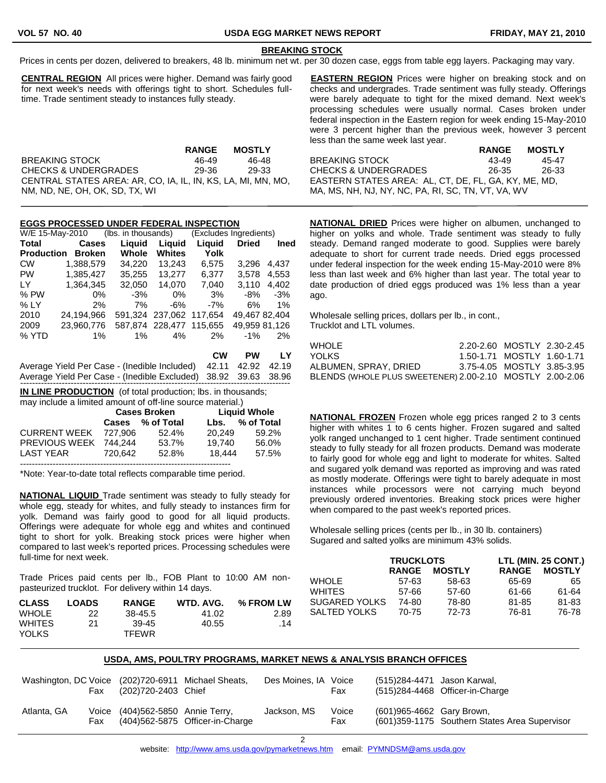j

# **BREAKING STOCK**

Prices in cents per dozen, delivered to breakers, 48 lb. minimum net wt. per 30 dozen case, eggs from table egg layers. Packaging may vary.

**CENTRAL REGION** All prices were higher. Demand was fairly good for next week's needs with offerings tight to short. Schedules fulltime. Trade sentiment steady to instances fully steady.

|                                                              | <b>RANGE</b> | <b>MOSTLY</b> |
|--------------------------------------------------------------|--------------|---------------|
| <b>BREAKING STOCK</b>                                        | 46-49        | 46-48         |
| CHECKS & UNDERGRADES                                         | 29-36        | 29-33         |
| CENTRAL STATES AREA: AR, CO, IA, IL, IN, KS, LA, MI, MN, MO, |              |               |
| NM, ND, NE, OH, OK, SD, TX, WI                               |              |               |

## **EGGS PROCESSED UNDER FEDERAL INSPECTION**

| W/E 15-May-2010   |               | (lbs. in thousands) |                         | (Excludes Ingredients)  |               |             |
|-------------------|---------------|---------------------|-------------------------|-------------------------|---------------|-------------|
| Total             | <b>Cases</b>  | Liguid              | Liguid                  | Liguid                  | <b>Dried</b>  | <b>Ined</b> |
| <b>Production</b> | <b>Broken</b> | Whole               | <b>Whites</b>           | Yolk                    |               |             |
| <b>CW</b>         | 1.388.579     | 34.220              | 13.243                  | 6.575                   | 3.296         | 4,437       |
| <b>PW</b>         | 1,385,427     | 35,255              | 13.277                  | 6,377                   | 3.578         | 4,553       |
| LY -              | 1.364.345     | 32.050              | 14.070                  | 7.040                   | 3.110         | 4.402       |
| $%$ PW            | 0%            | $-3%$               | 0%                      | 3%                      | -8%           | -3%         |
| % LY              | 2%            | 7%                  | $-6%$                   | $-7%$                   | 6%            | $1\%$       |
| 2010              | 24.194.966    |                     | 591.324 237.062 117.654 |                         | 49,467 82,404 |             |
| 2009              | 23.960.776    |                     |                         | 587.874 228.477 115.655 | 49,959 81,126 |             |
| % YTD             | $1\%$         | 1%                  | 4%                      | 2%                      | $-1\%$        | 2%          |

|                                                                | CW | PW LY |
|----------------------------------------------------------------|----|-------|
| Average Yield Per Case - (Inedible Included) 42.11 42.92 42.19 |    |       |
| Average Yield Per Case - (Inedible Excluded) 38.92 39.63 38.96 |    |       |
|                                                                |    |       |

**IN LINE PRODUCTION** (of total production; lbs. in thousands;

| may include a limited amount of off-line source material.) |                     |                  |        |                     |
|------------------------------------------------------------|---------------------|------------------|--------|---------------------|
|                                                            | <b>Cases Broken</b> |                  |        | <b>Liquid Whole</b> |
|                                                            |                     | Cases % of Total | Lbs.   | % of Total          |
| <b>CURRENT WEEK</b>                                        | 727.906             | 52.4%            | 20.249 | 59.2%               |
| PREVIOUS WEEK                                              | 744.244             | 53.7%            | 19.740 | 56.0%               |
| <b>LAST YEAR</b>                                           | 720.642             | 52.8%            | 18.444 | 57.5%               |
|                                                            |                     |                  |        |                     |

\*Note: Year-to-date total reflects comparable time period.

**NATIONAL LIQUID** Trade sentiment was steady to fully steady for whole egg, steady for whites, and fully steady to instances firm for yolk. Demand was fairly good to good for all liquid products. Offerings were adequate for whole egg and whites and continued tight to short for yolk. Breaking stock prices were higher when compared to last week's reported prices. Processing schedules were full-time for next week.

Trade Prices paid cents per lb., FOB Plant to 10:00 AM nonpasteurized trucklot. For delivery within 14 days.

| <b>CLASS</b>  | <b>LOADS</b> | <b>RANGE</b> | WTD. AVG. | % FROM LW |
|---------------|--------------|--------------|-----------|-----------|
| <b>WHOLE</b>  | 22           | 38-45.5      | 41.02     | 2.89      |
| <b>WHITES</b> | 21           | 39-45        | 40.55     | .14       |
| <b>YOLKS</b>  |              | <b>TFEWR</b> |           |           |

**EASTERN REGION** Prices were higher on breaking stock and on checks and undergrades. Trade sentiment was fully steady. Offerings were barely adequate to tight for the mixed demand. Next week's processing schedules were usually normal. Cases broken under federal inspection in the Eastern region for week ending 15-May-2010 were 3 percent higher than the previous week, however 3 percent less than the same week last year.

**RANGE MOSTLY** BREAKING STOCK 43-49 45-47 CHECKS & UNDERGRADES 26-35 26-33 EASTERN STATES AREA: AL, CT, DE, FL, GA, KY, ME, MD, MA, MS, NH, NJ, NY, NC, PA, RI, SC, TN, VT, VA, WV

**NATIONAL DRIED** Prices were higher on albumen, unchanged to higher on yolks and whole. Trade sentiment was steady to fully steady. Demand ranged moderate to good. Supplies were barely adequate to short for current trade needs. Dried eggs processed under federal inspection for the week ending 15-May-2010 were 8% less than last week and 6% higher than last year. The total year to date production of dried eggs produced was 1% less than a year ago.

Wholesale selling prices, dollars per lb., in cont., Trucklot and LTL volumes.

| WHOLE                                                    | 2.20-2.60 MOSTLY 2.30-2.45 |  |
|----------------------------------------------------------|----------------------------|--|
| YOLKS.                                                   | 1.50-1.71 MOSTLY 1.60-1.71 |  |
| ALBUMEN. SPRAY. DRIED                                    | 3.75-4.05 MOSTLY 3.85-3.95 |  |
| BLENDS (WHOLE PLUS SWEETENER) 2.00-2.10 MOSTLY 2.00-2.06 |                            |  |

**NATIONAL FROZEN** Frozen whole egg prices ranged 2 to 3 cents higher with whites 1 to 6 cents higher. Frozen sugared and salted yolk ranged unchanged to 1 cent higher. Trade sentiment continued steady to fully steady for all frozen products. Demand was moderate to fairly good for whole egg and light to moderate for whites. Salted and sugared yolk demand was reported as improving and was rated as mostly moderate. Offerings were tight to barely adequate in most instances while processors were not carrying much beyond previously ordered inventories. Breaking stock prices were higher when compared to the past week's reported prices.

Wholesale selling prices (cents per lb., in 30 lb. containers) Sugared and salted yolks are minimum 43% solids.

|               | <b>TRUCKLOTS</b> |               |              | LTL (MIN. 25 CONT.) |
|---------------|------------------|---------------|--------------|---------------------|
|               | <b>RANGE</b>     | <b>MOSTLY</b> | <b>RANGE</b> | <b>MOSTLY</b>       |
| WHOLE         | 57-63            | 58-63         | 65-69        | 65                  |
| WHITES        | 57-66            | 57-60         | 61-66        | 61-64               |
| SUGARED YOLKS | 74-80            | 78-80         | 81-85        | 81-83               |
| SALTED YOLKS  | 70-75            | 72-73         | 76-81        | 76-78               |

#### **USDA, AMS, POULTRY PROGRAMS, MARKET NEWS & ANALYSIS BRANCH OFFICES**

|             | Fax | (202)720-2403 Chief              | Washington, DC Voice (202)720-6911 Michael Sheats, | Des Moines, IA Voice | Fax          |                           | (515)284-4471 Jason Karwal,<br>(515)284-4468 Officer-in-Charge |
|-------------|-----|----------------------------------|----------------------------------------------------|----------------------|--------------|---------------------------|----------------------------------------------------------------|
| Atlanta, GA | Fax | Voice (404)562-5850 Annie Terry, | (404)562-5875 Officer-in-Charge                    | Jackson. MS          | Voice<br>Fax | (601)965-4662 Gary Brown, | (601) 359-1175 Southern States Area Supervisor                 |

2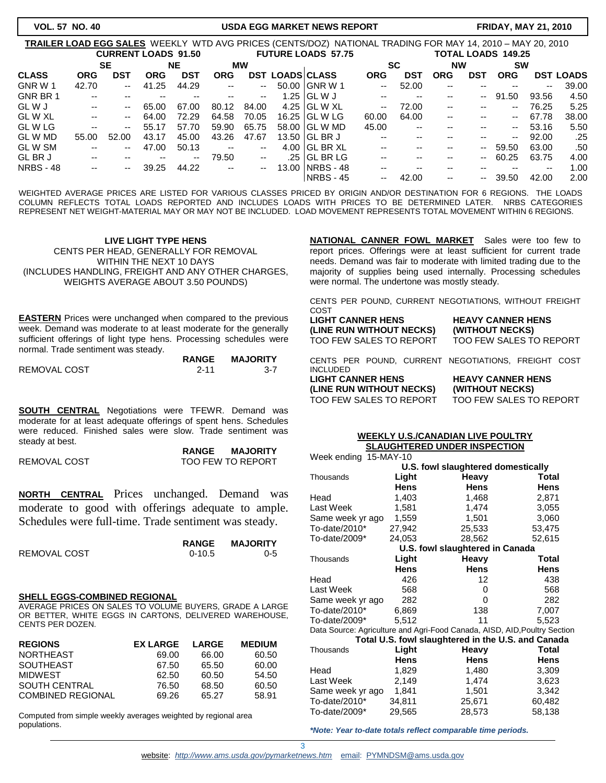# **VOL. 57 NO. 40 USDA EGG MARKET NEWS REPORT FRIDAY, MAY 21, 2010**

| TRAILER LOAD EGG SALES WEEKLY WTD AVG PRICES (CENTS/DOZ) NATIONAL TRADING FOR MAY 14, 2010 – MAY 20, 2010 |                          |                            |            |                          |                          |           |                        |                           |                          |                          |                          |            |                           |       |                  |
|-----------------------------------------------------------------------------------------------------------|--------------------------|----------------------------|------------|--------------------------|--------------------------|-----------|------------------------|---------------------------|--------------------------|--------------------------|--------------------------|------------|---------------------------|-------|------------------|
|                                                                                                           |                          | <b>CURRENT LOADS 91.50</b> |            |                          |                          |           |                        | <b>FUTURE LOADS 57.75</b> |                          |                          |                          |            | <b>TOTAL LOADS 149.25</b> |       |                  |
|                                                                                                           |                          | <b>SE</b>                  |            | <b>NE</b>                |                          | <b>MW</b> |                        |                           |                          | <b>SC</b>                | <b>NW</b>                |            | <b>SW</b>                 |       |                  |
| <b>CLASS</b>                                                                                              | <b>ORG</b>               | DST                        | <b>ORG</b> | <b>DST</b>               | <b>ORG</b>               |           | <b>DST LOADS CLASS</b> |                           | <b>ORG</b>               | <b>DST</b>               | <b>ORG</b>               | <b>DST</b> | <b>ORG</b>                |       | <b>DST LOADS</b> |
| GNR W 1                                                                                                   | 42.70                    | --                         | 41.25      | 44.29                    | --                       | --        |                        | 50.00 GNR W 1             | $\overline{\phantom{a}}$ | 52.00                    | $-$                      |            | --                        | $-$   | 39.00            |
| GNR BR 1                                                                                                  | $\overline{\phantom{a}}$ | --                         |            | $- -$                    | --                       | --        |                        | 1.25 GL W J               | $\overline{\phantom{a}}$ | $\overline{\phantom{a}}$ | $- -$                    | $-$        | 91.50                     | 93.56 | 4.50             |
| GL W J                                                                                                    | $\sim$ $\sim$            | ۰.                         | 65.00      | 67.00                    | 80.12                    | 84.00     |                        | 4.25 GL W XL              | --                       | 72.00                    | $\overline{\phantom{a}}$ | $- -$      | $- -$                     | 76.25 | 5.25             |
| GL W XL                                                                                                   | $\overline{\phantom{a}}$ | --                         | 64.00      | 72.29                    | 64.58                    | 70.05     |                        | 16.25 GL W LG             | 60.00                    | 64.00                    | $-$                      | --         | $- -$                     | 67.78 | 38.00            |
| GL W LG                                                                                                   | $- -$                    | --                         | 55.17      | 57.70                    | 59.90                    | 65.75     |                        | 58.00 GL W MD             | 45.00                    | $\overline{\phantom{a}}$ | $-$                      | $- -$      | $- -$                     | 53.16 | 5.50             |
| GL W MD                                                                                                   | 55.00                    | 52.00                      | 43.17      | 45.00                    | 43.26                    | 47.67     |                        | 13.50 GL BR J             | $- -$                    | $- -$                    | $- -$                    | $- -$      | $\overline{\phantom{a}}$  | 92.00 | .25              |
| <b>GLWSM</b>                                                                                              | --                       | --                         | 47.00      | 50.13                    | --                       | --        |                        | $4.00$ IGL BR XL          | --                       | $- -$                    | $- -$                    | $\sim$ $-$ | 59.50                     | 63.00 | .50              |
| GL BR J                                                                                                   | $- -$                    | --                         | --         | $\overline{\phantom{a}}$ | 79.50                    | --        |                        | .25 $ GL$ BR $LG$         | --                       | $- -$                    | $- -$                    | $-$        | 60.25                     | 63.75 | 4.00             |
| <b>NRBS - 48</b>                                                                                          | $- -$                    | --                         | 39.25      | 44.22                    | $\overline{\phantom{a}}$ | $\sim$    |                        | 13.00 INRBS - 48          | --                       | $- -$                    | --                       |            | --                        | $- -$ | 1.00             |
|                                                                                                           |                          |                            |            |                          |                          |           |                        | NRBS - 45                 | --                       | 42.00                    | $\overline{\phantom{a}}$ | $\sim$ $-$ | 39.50                     | 42.00 | 2.00             |

WEIGHTED AVERAGE PRICES ARE LISTED FOR VARIOUS CLASSES PRICED BY ORIGIN AND/OR DESTINATION FOR 6 REGIONS. THE LOADS COLUMN REFLECTS TOTAL LOADS REPORTED AND INCLUDES LOADS WITH PRICES TO BE DETERMINED LATER. NRBS CATEGORIES REPRESENT NET WEIGHT-MATERIAL MAY OR MAY NOT BE INCLUDED. LOAD MOVEMENT REPRESENTS TOTAL MOVEMENT WITHIN 6 REGIONS.

# **LIVE LIGHT TYPE HENS** CENTS PER HEAD, GENERALLY FOR REMOVAL WITHIN THE NEXT 10 DAYS (INCLUDES HANDLING, FREIGHT AND ANY OTHER CHARGES, WEIGHTS AVERAGE ABOUT 3.50 POUNDS)

**EASTERN** Prices were unchanged when compared to the previous week. Demand was moderate to at least moderate for the generally sufficient offerings of light type hens. Processing schedules were normal. Trade sentiment was steady.

|                     | <b>RANGE</b> | <b>MAJORITY</b> |
|---------------------|--------------|-----------------|
| <b>REMOVAL COST</b> | $2 - 11$     | $3 - 7$         |

**SOUTH CENTRAL** Negotiations were TFEWR. Demand was moderate for at least adequate offerings of spent hens. Schedules were reduced. Finished sales were slow. Trade sentiment was steady at best.

|              | <b>RANGE</b> | <b>MAJORITY</b>   |
|--------------|--------------|-------------------|
| REMOVAL COST |              | TOO FEW TO REPORT |

**NORTH CENTRAL** Prices unchanged. Demand was moderate to good with offerings adequate to ample. Schedules were full-time. Trade sentiment was steady.

|              | <b>RANGE</b> | <b>MAJORITY</b> |
|--------------|--------------|-----------------|
| REMOVAL COST | $0-10.5$     | $0 - 5$         |

#### **SHELL EGGS-COMBINED REGIONAL**

AVERAGE PRICES ON SALES TO VOLUME BUYERS, GRADE A LARGE OR BETTER, WHITE EGGS IN CARTONS, DELIVERED WAREHOUSE, CENTS PER DOZEN.

| <b>REGIONS</b>           | <b>EX LARGE</b> | <b>LARGE</b> | <b>MEDIUM</b> |
|--------------------------|-----------------|--------------|---------------|
| <b>NORTHEAST</b>         | 69.00           | 66.00        | 60.50         |
| <b>SOUTHEAST</b>         | 67.50           | 65.50        | 60.00         |
| <b>MIDWEST</b>           | 62.50           | 60.50        | 54.50         |
| <b>SOUTH CENTRAL</b>     | 76.50           | 68.50        | 60.50         |
| <b>COMBINED REGIONAL</b> | 69.26           | 65.27        | 58.91         |

Computed from simple weekly averages weighted by regional area populations.

**NATIONAL CANNER FOWL MARKET** Sales were too few to report prices. Offerings were at least sufficient for current trade needs. Demand was fair to moderate with limited trading due to the majority of supplies being used internally. Processing schedules were normal. The undertone was mostly steady.

CENTS PER POUND, CURRENT NEGOTIATIONS, WITHOUT FREIGHT COST

| <b>LIGHT CANNER HENS</b> | <b>HEAVY CANNER HENS</b>                            |
|--------------------------|-----------------------------------------------------|
| (LINE RUN WITHOUT NECKS) | (WITHOUT NECKS)                                     |
| TOO FEW SALES TO REPORT  | TOO FEW SALES TO REPORT                             |
| <b>INCLUDED</b>          | CENTS PER POUND, CURRENT NEGOTIATIONS, FREIGHT COST |
| <b>LIGHT CANNER HENS</b> | <b>HEAVY CANNER HENS</b>                            |
| (LINE RUN WITHOUT NECKS) | (WITHOUT NECKS)                                     |
| TOO FEW SALES TO REPORT  | TOO FEW SALES TO REPORT                             |

#### **WEEKLY U.S./CANADIAN LIVE POULTRY SLAUGHTERED UNDER INSPECTION**

| Week ending 15-MAY-10              |             |                                                    |                                                                           |  |  |  |  |
|------------------------------------|-------------|----------------------------------------------------|---------------------------------------------------------------------------|--|--|--|--|
| U.S. fowl slaughtered domestically |             |                                                    |                                                                           |  |  |  |  |
| Thousands                          | Light       | Heavy                                              | Total                                                                     |  |  |  |  |
|                                    | <b>Hens</b> | <b>Hens</b>                                        | Hens                                                                      |  |  |  |  |
| Head                               | 1,403       | 1,468                                              | 2,871                                                                     |  |  |  |  |
| Last Week                          | 1,581       | 1,474                                              | 3,055                                                                     |  |  |  |  |
| Same week yr ago                   | 1,559       | 1,501                                              | 3,060                                                                     |  |  |  |  |
| To-date/2010*                      | 27,942      | 25,533                                             | 53,475                                                                    |  |  |  |  |
| To-date/2009*                      | 24,053      | 28,562                                             | 52,615                                                                    |  |  |  |  |
|                                    |             | U.S. fowl slaughtered in Canada                    |                                                                           |  |  |  |  |
| Thousands                          | Light       | Heavy                                              | Total                                                                     |  |  |  |  |
|                                    | Hens        | <b>Hens</b>                                        | Hens                                                                      |  |  |  |  |
| Head                               | 426         | 12                                                 | 438                                                                       |  |  |  |  |
| Last Week                          | 568         | 0                                                  | 568                                                                       |  |  |  |  |
| Same week yr ago                   | 282         | 0                                                  | 282                                                                       |  |  |  |  |
| To-date/2010*                      | 6,869       | 138                                                | 7,007                                                                     |  |  |  |  |
| To-date/2009*                      | 5,512       | 11                                                 | 5,523                                                                     |  |  |  |  |
|                                    |             |                                                    | Data Source: Agriculture and Agri-Food Canada, AISD, AID, Poultry Section |  |  |  |  |
|                                    |             | Total U.S. fowl slaughtered in the U.S. and Canada |                                                                           |  |  |  |  |
| Thousands                          | Light       | Heavy                                              | Total                                                                     |  |  |  |  |
|                                    | Hens        | Hens                                               | Hens                                                                      |  |  |  |  |
| Head                               | 1,829       | 1,480                                              | 3,309                                                                     |  |  |  |  |
| Last Week                          | 2,149       | 1,474                                              | 3,623                                                                     |  |  |  |  |
| Same week yr ago                   | 1,841       | 1,501                                              | 3,342                                                                     |  |  |  |  |
| To-date/2010*                      | 34,811      | 25,671                                             | 60,482                                                                    |  |  |  |  |
| To-date/2009*                      | 29,565      | 28,573                                             | 58,138                                                                    |  |  |  |  |

*\*Note: Year to-date totals reflect comparable time periods.*